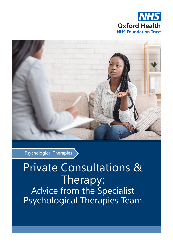



Psychological Therapies

## Private Consultations & Therapy: Advice from the Specialist Psychological Therapies Team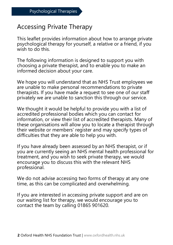## Accessing Private Therapy

This leaflet provides information about how to arrange private psychological therapy for yourself, a relative or a friend, if you wish to do this.

The following information is designed to support you with choosing a private therapist, and to enable you to make an informed decision about your care.

We hope you will understand that as NHS Trust employees we are unable to make personal recommendations to private therapists. If you have made a request to see one of our staff privately we are unable to sanction this through our service.

We thought it would be helpful to provide you with a list of accredited professional bodies which you can contact for information, or view their list of accredited therapists. Many of these organisations will allow you to locate a therapist through their website or members' register and may specify types of difficulties that they are able to help you with.

If you have already been assessed by an NHS therapist, or if you are currently seeing an NHS mental health professional for treatment, and you wish to seek private therapy, we would encourage you to discuss this with the relevant NHS professional.

We do not advise accessing two forms of therapy at any one time, as this can be complicated and overwhelming.

If you are interested in accessing private support and are on our waiting list for therapy, we would encourage you to contact the team by calling 01865 901620.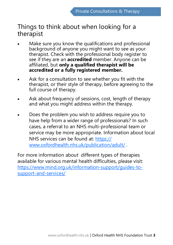## Things to think about when looking for a therapist

- Make sure you know the qualifications and professional background of anyone you might want to see as your therapist. Check with the professional body register to see if they are an **accredited** member. Anyone can be affiliated, but **only a qualified therapist will be accredited or a fully registered member.**
- Ask for a consultation to see whether you fit with the therapist, or their style of therapy, before agreeing to the full course of therapy.
- Ask about frequency of sessions, cost, length of therapy and what you might address within the therapy.
- Does the problem you wish to address require you to have help from a wider range of professionals? In such cases, a referral to an NHS multi-professional team or service may be more appropriate. Information about local NHS services can be found at: [https://](https://www.oxfordhealth.nhs.uk/publication/adult/) [www.oxfordhealth.nhs.uk/publication/adult/](https://www.oxfordhealth.nhs.uk/publication/adult/) .

For more information about different types of therapies available for various mental health difficulties, please visit: [https://www.mind.org.uk/information](https://www.mind.org.uk/information-support/guides-to-support-and-services/)-support/guides-tosupport-and-[services/](https://www.mind.org.uk/information-support/guides-to-support-and-services/)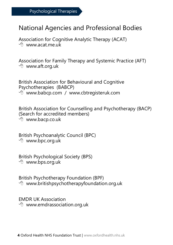## National Agencies and Professional Bodies

Association for Cognitive Analytic Therapy (ACAT)  $\sqrt{m}$  www.acat.me.uk

Association for Family Therapy and Systemic Practice (AFT) www.aft.org.uk

British Association for Behavioural and Cognitive Psychotherapies (BABCP) <sup>1</sup> www.babcp.com / www.cbtregisteruk.com

British Association for Counselling and Psychotherapy (BACP) (Search for accredited members) www.bacp.co.uk

British Psychoanalytic Council (BPC) www.bpc.org.uk

British Psychological Society (BPS) www.bps.org.uk

British Psychotherapy Foundation (BPF)  $\Diamond$  www.britishpsychotherapyfoundation.org.uk

EMDR UK Association <sup></sub><sup>®</sup> www.emdrassociation.org.uk</sup>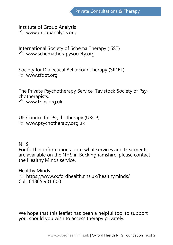Institute of Group Analysis www.groupanalysis.org

International Society of Schema Therapy (ISST) www.schematherapysociety.org

Society for Dialectical Behaviour Therapy (SfDBT) www.sfdbt.org

The Private Psychotherapy Service: Tavistock Society of Psychotherapists.

www.tpps.org.uk

UK Council for Psychotherapy (UKCP) www.psychotherapy.org.uk

NHS

For further information about what services and treatments are available on the NHS in Buckinghamshire, please contact the Healthy Minds service.

Healthy Minds <sup>th</sup> https://www.oxfordhealth.nhs.uk/healthyminds/ Call: 01865 901 600

We hope that this leaflet has been a helpful tool to support you, should you wish to access therapy privately.